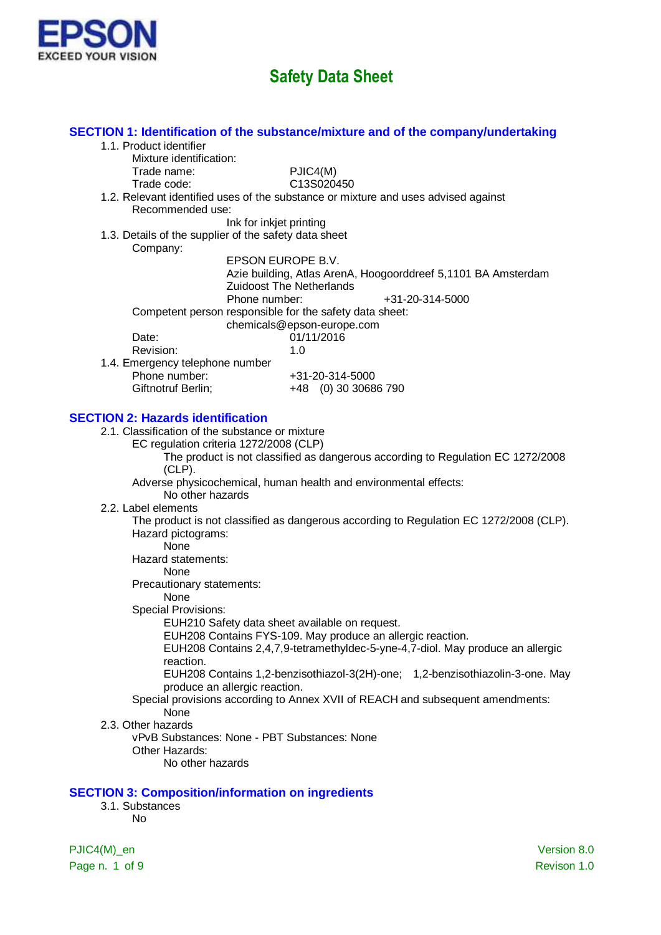

|                                                          | SECTION 1: Identification of the substance/mixture and of the company/undertaking      |
|----------------------------------------------------------|----------------------------------------------------------------------------------------|
| 1.1. Product identifier                                  |                                                                                        |
| Mixture identification:                                  |                                                                                        |
| Trade name:                                              | PJIC4(M)                                                                               |
| Trade code:                                              | C13S020450                                                                             |
| Recommended use:                                         | 1.2. Relevant identified uses of the substance or mixture and uses advised against     |
| Ink for inkjet printing                                  |                                                                                        |
| 1.3. Details of the supplier of the safety data sheet    |                                                                                        |
| Company:                                                 |                                                                                        |
|                                                          | EPSON EUROPE B.V.                                                                      |
|                                                          | Azie building, Atlas ArenA, Hoogoorddreef 5,1101 BA Amsterdam                          |
|                                                          | <b>Zuidoost The Netherlands</b>                                                        |
| Phone number:                                            | +31-20-314-5000                                                                        |
| Competent person responsible for the safety data sheet:  |                                                                                        |
|                                                          | chemicals@epson-europe.com                                                             |
| Date:                                                    | 01/11/2016                                                                             |
| Revision:                                                | 1.0                                                                                    |
| 1.4. Emergency telephone number<br>Phone number:         |                                                                                        |
|                                                          | +31-20-314-5000<br>+48 (0) 30 30686 790                                                |
| Giftnotruf Berlin;                                       |                                                                                        |
| <b>SECTION 2: Hazards identification</b>                 |                                                                                        |
| 2.1. Classification of the substance or mixture          |                                                                                        |
| EC regulation criteria 1272/2008 (CLP)                   |                                                                                        |
|                                                          | The product is not classified as dangerous according to Regulation EC 1272/2008        |
| $(CLP)$ .                                                |                                                                                        |
|                                                          | Adverse physicochemical, human health and environmental effects:                       |
| No other hazards                                         |                                                                                        |
| 2.2. Label elements                                      |                                                                                        |
|                                                          | The product is not classified as dangerous according to Regulation EC 1272/2008 (CLP). |
| Hazard pictograms:                                       |                                                                                        |
| None                                                     |                                                                                        |
| Hazard statements:                                       |                                                                                        |
| None                                                     |                                                                                        |
| Precautionary statements:                                |                                                                                        |
| None                                                     |                                                                                        |
| <b>Special Provisions:</b>                               |                                                                                        |
| EUH210 Safety data sheet available on request.           | EUH208 Contains FYS-109. May produce an allergic reaction.                             |
|                                                          | EUH208 Contains 2,4,7,9-tetramethyldec-5-yne-4,7-diol. May produce an allergic         |
| reaction.                                                |                                                                                        |
|                                                          | EUH208 Contains 1,2-benzisothiazol-3(2H)-one; 1,2-benzisothiazolin-3-one. May          |
| produce an allergic reaction.                            |                                                                                        |
|                                                          | Special provisions according to Annex XVII of REACH and subsequent amendments:         |
| None                                                     |                                                                                        |
| 2.3. Other hazards                                       |                                                                                        |
| vPvB Substances: None - PBT Substances: None             |                                                                                        |
| Other Hazards:                                           |                                                                                        |
| No other hazards                                         |                                                                                        |
|                                                          |                                                                                        |
| <b>SECTION 3: Composition/information on ingredients</b> |                                                                                        |
| 3.1. Substances                                          |                                                                                        |
| No                                                       |                                                                                        |
|                                                          |                                                                                        |
| PJIC4(M)_en                                              | Version 8.0                                                                            |

Page n. 1 of 9 Revison 1.0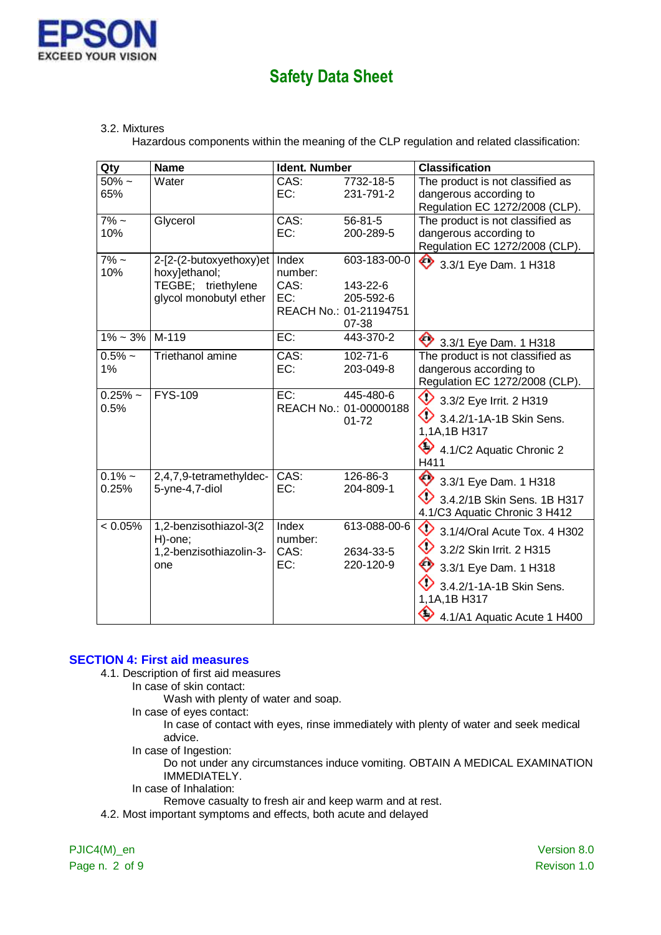

#### 3.2. Mixtures

Hazardous components within the meaning of the CLP regulation and related classification:

| Qty               | <b>Name</b>                                                                              | <b>Ident. Number</b>            |                                                                          | <b>Classification</b>                                                                                                                                                            |
|-------------------|------------------------------------------------------------------------------------------|---------------------------------|--------------------------------------------------------------------------|----------------------------------------------------------------------------------------------------------------------------------------------------------------------------------|
| $50\%$ ~<br>65%   | Water                                                                                    | CAS:<br>EC:                     | 7732-18-5<br>231-791-2                                                   | The product is not classified as                                                                                                                                                 |
|                   |                                                                                          |                                 |                                                                          | dangerous according to<br>Regulation EC 1272/2008 (CLP).                                                                                                                         |
| $7\% -$<br>10%    | Glycerol                                                                                 | CAS:<br>EC:                     | $56 - 81 - 5$<br>200-289-5                                               | The product is not classified as<br>dangerous according to<br>Regulation EC 1272/2008 (CLP).                                                                                     |
| $7\%$ ~<br>10%    | 2-[2-(2-butoxyethoxy)et<br>hoxy]ethanol;<br>TEGBE; triethylene<br>glycol monobutyl ether | Index<br>number:<br>CAS:<br>EC: | 603-183-00-0<br>143-22-6<br>205-592-6<br>REACH No.: 01-21194751<br>07-38 | ◇<br>3.3/1 Eye Dam. 1 H318                                                                                                                                                       |
| $1\% \sim 3\%$    | M-119                                                                                    | EC:                             | 443-370-2                                                                | 3.3/1 Eye Dam. 1 H318                                                                                                                                                            |
| $0.5%$ ~<br>1%    | Triethanol amine                                                                         | $\overline{CAS}$ :<br>EC:       | $102 - 71 - 6$<br>203-049-8                                              | The product is not classified as<br>dangerous according to<br>Regulation EC 1272/2008 (CLP).                                                                                     |
| $0.25%$ ~<br>0.5% | <b>FYS-109</b>                                                                           | EC:                             | 445-480-6<br>REACH No.: 01-00000188<br>$01 - 72$                         | ◇<br>3.3/2 Eye Irrit. 2 H319<br>◇<br>3.4.2/1-1A-1B Skin Sens.<br>1,1A,1B H317<br>♦<br>4.1/C2 Aquatic Chronic 2<br>H411                                                           |
| $0.1% -$<br>0.25% | 2,4,7,9-tetramethyldec-<br>5-yne-4,7-diol                                                | CAS:<br>EC:                     | 126-86-3<br>204-809-1                                                    | ◇<br>3.3/1 Eye Dam. 1 H318<br>3.4.2/1B Skin Sens, 1B H317<br>4.1/C3 Aquatic Chronic 3 H412                                                                                       |
| < 0.05%           | 1,2-benzisothiazol-3(2<br>H)-one;<br>1,2-benzisothiazolin-3-<br>one                      | Index<br>number:<br>CAS:<br>EC: | 613-088-00-6<br>2634-33-5<br>220-120-9                                   | ◇<br>3.1/4/Oral Acute Tox. 4 H302<br>♦<br>3.2/2 Skin Irrit. 2 H315<br>◇<br>3.3/1 Eye Dam. 1 H318<br>3.4.2/1-1A-1B Skin Sens.<br>1,1A,1B H317<br>◇<br>4.1/A1 Aquatic Acute 1 H400 |

### **SECTION 4: First aid measures**

4.1. Description of first aid measures

In case of skin contact:

- Wash with plenty of water and soap.
- In case of eyes contact:

In case of contact with eyes, rinse immediately with plenty of water and seek medical advice.

In case of Ingestion:

Do not under any circumstances induce vomiting. OBTAIN A MEDICAL EXAMINATION IMMEDIATELY.

In case of Inhalation:

Remove casualty to fresh air and keep warm and at rest.

4.2. Most important symptoms and effects, both acute and delayed

PJIC4(M)\_en Version 8.0 Page n. 2 of 9 Revison 1.0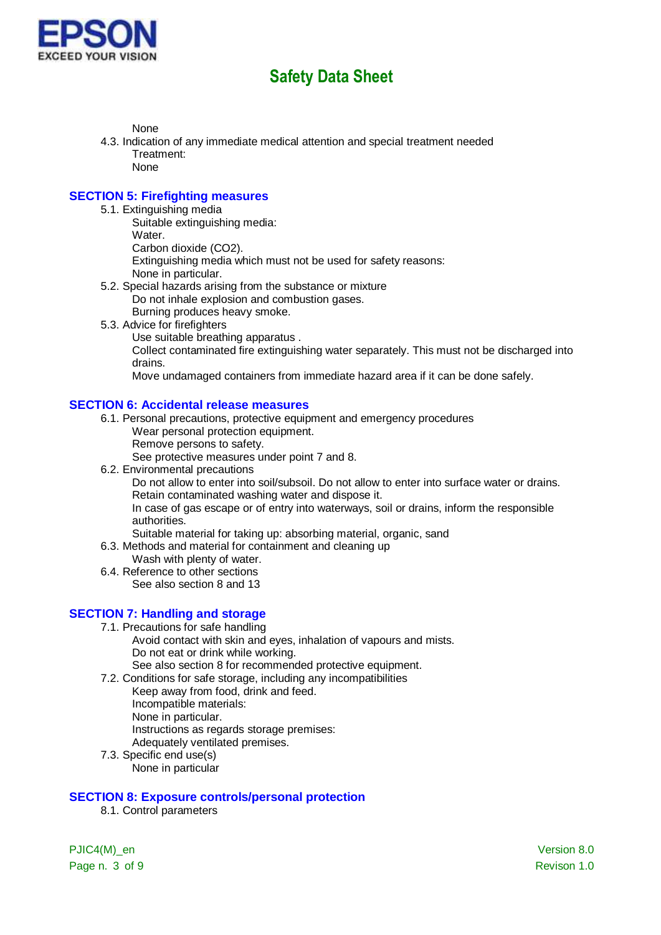

None

- 4.3. Indication of any immediate medical attention and special treatment needed Treatment: None
	-

#### **SECTION 5: Firefighting measures**

- 5.1. Extinguishing media
	- Suitable extinguishing media: Water. Carbon dioxide (CO2). Extinguishing media which must not be used for safety reasons: None in particular.
- 5.2. Special hazards arising from the substance or mixture Do not inhale explosion and combustion gases. Burning produces heavy smoke.
- 5.3. Advice for firefighters
	- Use suitable breathing apparatus .

Collect contaminated fire extinguishing water separately. This must not be discharged into drains.

Move undamaged containers from immediate hazard area if it can be done safely.

#### **SECTION 6: Accidental release measures**

- 6.1. Personal precautions, protective equipment and emergency procedures
	- Wear personal protection equipment.
	- Remove persons to safety.

See protective measures under point 7 and 8.

6.2. Environmental precautions

Do not allow to enter into soil/subsoil. Do not allow to enter into surface water or drains. Retain contaminated washing water and dispose it.

In case of gas escape or of entry into waterways, soil or drains, inform the responsible authorities.

Suitable material for taking up: absorbing material, organic, sand

- 6.3. Methods and material for containment and cleaning up
	- Wash with plenty of water.
- 6.4. Reference to other sections See also section 8 and 13

### **SECTION 7: Handling and storage**

- 7.1. Precautions for safe handling
	- Avoid contact with skin and eyes, inhalation of vapours and mists. Do not eat or drink while working.
	- See also section 8 for recommended protective equipment.
- 7.2. Conditions for safe storage, including any incompatibilities
	- Keep away from food, drink and feed.
	- Incompatible materials:
	- None in particular.
	- Instructions as regards storage premises:
	- Adequately ventilated premises.
- 7.3. Specific end use(s) None in particular

#### **SECTION 8: Exposure controls/personal protection**

8.1. Control parameters

Page n. 3 of 9 Revison 1.0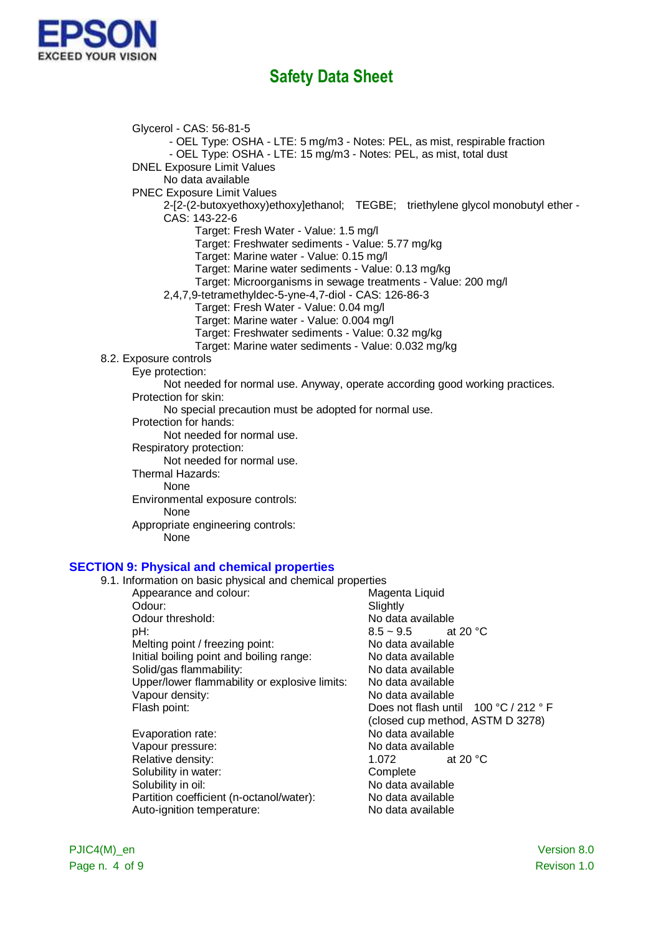

Glycerol - CAS: 56-81-5 - OEL Type: OSHA - LTE: 5 mg/m3 - Notes: PEL, as mist, respirable fraction - OEL Type: OSHA - LTE: 15 mg/m3 - Notes: PEL, as mist, total dust DNEL Exposure Limit Values No data available PNEC Exposure Limit Values 2-[2-(2-butoxyethoxy)ethoxy]ethanol; TEGBE; triethylene glycol monobutyl ether - CAS: 143-22-6 Target: Fresh Water - Value: 1.5 mg/l Target: Freshwater sediments - Value: 5.77 mg/kg Target: Marine water - Value: 0.15 mg/l Target: Marine water sediments - Value: 0.13 mg/kg Target: Microorganisms in sewage treatments - Value: 200 mg/l 2,4,7,9-tetramethyldec-5-yne-4,7-diol - CAS: 126-86-3 Target: Fresh Water - Value: 0.04 mg/l Target: Marine water - Value: 0.004 mg/l Target: Freshwater sediments - Value: 0.32 mg/kg Target: Marine water sediments - Value: 0.032 mg/kg 8.2. Exposure controls Eye protection: Not needed for normal use. Anyway, operate according good working practices. Protection for skin: No special precaution must be adopted for normal use. Protection for hands: Not needed for normal use. Respiratory protection: Not needed for normal use. Thermal Hazards: None Environmental exposure controls: None Appropriate engineering controls: **None** 

#### **SECTION 9: Physical and chemical properties**

| 9.1. Information on basic physical and chemical properties |                                       |
|------------------------------------------------------------|---------------------------------------|
| Appearance and colour:                                     | Magenta Liquid                        |
| Odour:                                                     | Slightly                              |
| Odour threshold:                                           | No data available                     |
| pH:                                                        | $8.5 \sim 9.5$ at 20 °C               |
| Melting point / freezing point:                            | No data available                     |
| Initial boiling point and boiling range:                   | No data available                     |
| Solid/gas flammability:                                    | No data available                     |
| Upper/lower flammability or explosive limits:              | No data available                     |
| Vapour density:                                            | No data available                     |
| Flash point:                                               | Does not flash until 100 °C / 212 ° F |
|                                                            | (closed cup method, ASTM D 3278)      |
| Evaporation rate:                                          | No data available                     |
| Vapour pressure:                                           | No data available                     |
| Relative density:                                          | at 20 $\degree$ C<br>1.072            |
| Solubility in water:                                       | Complete                              |
| Solubility in oil:                                         | No data available                     |
| Partition coefficient (n-octanol/water):                   | No data available                     |
| Auto-ignition temperature:                                 | No data available                     |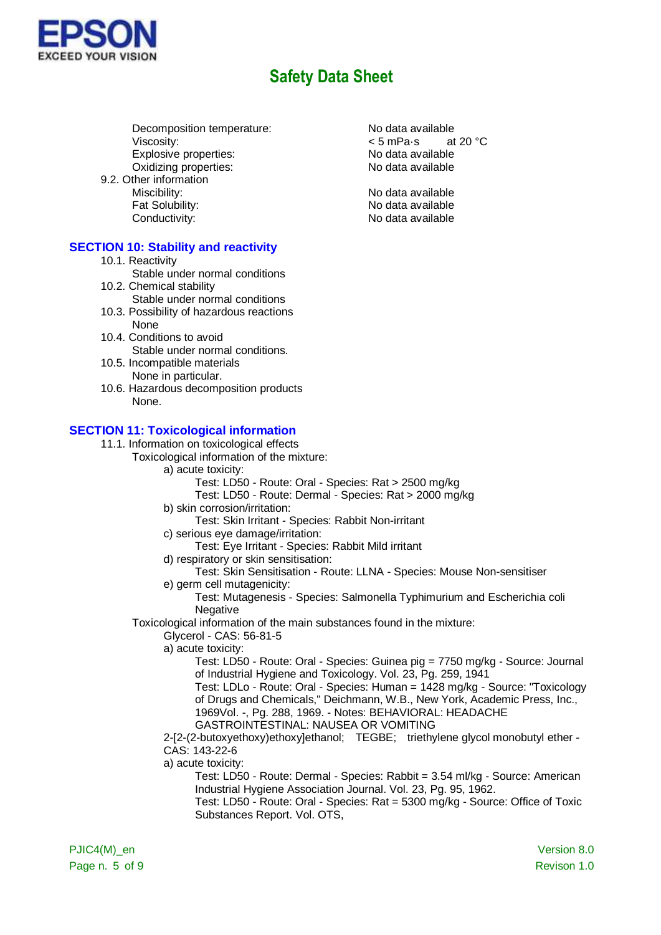

Decomposition temperature: No data available Viscosity:  $\leq$  5 mPa·s at 20 °C<br>Explosive properties:  $\leq$  No data available Explosive properties:<br>
Oxidizing properties:<br>
Oxidizing properties:<br>
No data available Oxidizing properties:

9.2. Other information

### **SECTION 10: Stability and reactivity**

10.1. Reactivity

Stable under normal conditions

- 10.2. Chemical stability
	- Stable under normal conditions
- 10.3. Possibility of hazardous reactions None
- 10.4. Conditions to avoid Stable under normal conditions.
- 10.5. Incompatible materials None in particular.
- 10.6. Hazardous decomposition products None.

#### **SECTION 11: Toxicological information**

- 11.1. Information on toxicological effects
	- Toxicological information of the mixture:
		- a) acute toxicity:
			- Test: LD50 Route: Oral Species: Rat > 2500 mg/kg
			- Test: LD50 Route: Dermal Species: Rat > 2000 mg/kg
		- b) skin corrosion/irritation:
		- Test: Skin Irritant Species: Rabbit Non-irritant
		- c) serious eye damage/irritation:
			- Test: Eye Irritant Species: Rabbit Mild irritant
		- d) respiratory or skin sensitisation:
			- Test: Skin Sensitisation Route: LLNA Species: Mouse Non-sensitiser
		- e) germ cell mutagenicity:
			- Test: Mutagenesis Species: Salmonella Typhimurium and Escherichia coli **Negative**
		- Toxicological information of the main substances found in the mixture:
			- Glycerol CAS: 56-81-5
				- a) acute toxicity:
					- Test: LD50 Route: Oral Species: Guinea pig = 7750 mg/kg Source: Journal of Industrial Hygiene and Toxicology. Vol. 23, Pg. 259, 1941
					- Test: LDLo Route: Oral Species: Human = 1428 mg/kg Source: "Toxicology of Drugs and Chemicals," Deichmann, W.B., New York, Academic Press, Inc., 1969Vol. -, Pg. 288, 1969. - Notes: BEHAVIORAL: HEADACHE
					- GASTROINTESTINAL: NAUSEA OR VOMITING
				- 2-[2-(2-butoxyethoxy)ethoxy]ethanol; TEGBE; triethylene glycol monobutyl ether CAS: 143-22-6
			- a) acute toxicity:
				- Test: LD50 Route: Dermal Species: Rabbit = 3.54 ml/kg Source: American Industrial Hygiene Association Journal. Vol. 23, Pg. 95, 1962.
					- Test: LD50 Route: Oral Species: Rat = 5300 mg/kg Source: Office of Toxic Substances Report. Vol. OTS,

Miscibility: No data available Fat Solubility: The Contract of the No data available Conductivity: Conductivity: Conductivity: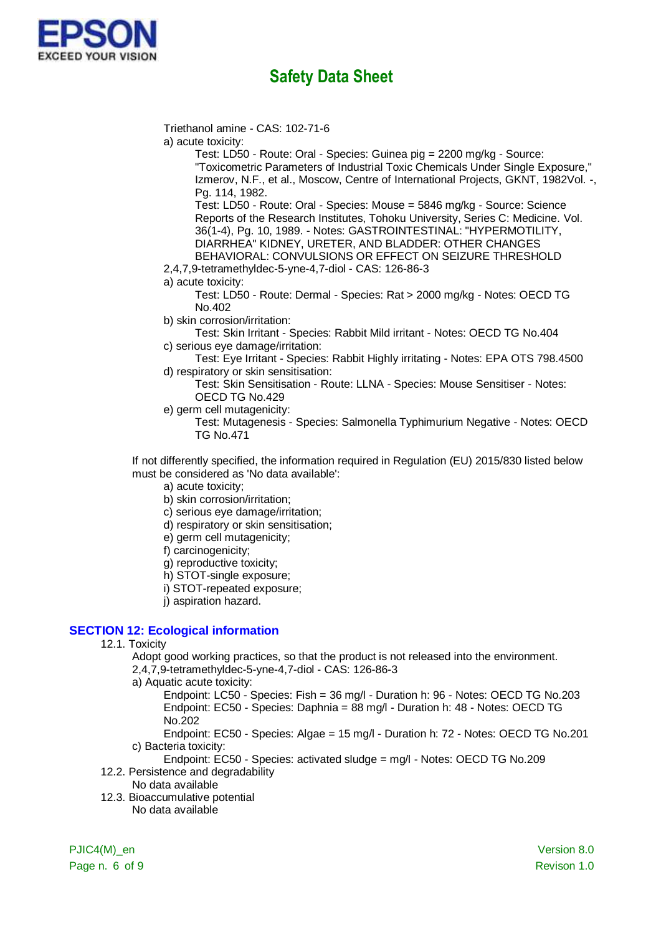

Triethanol amine - CAS: 102-71-6

a) acute toxicity:

Test: LD50 - Route: Oral - Species: Guinea pig = 2200 mg/kg - Source: "Toxicometric Parameters of Industrial Toxic Chemicals Under Single Exposure," Izmerov, N.F., et al., Moscow, Centre of International Projects, GKNT, 1982Vol. -, Pg. 114, 1982.

Test: LD50 - Route: Oral - Species: Mouse = 5846 mg/kg - Source: Science Reports of the Research Institutes, Tohoku University, Series C: Medicine. Vol. 36(1-4), Pg. 10, 1989. - Notes: GASTROINTESTINAL: "HYPERMOTILITY, DIARRHEA" KIDNEY, URETER, AND BLADDER: OTHER CHANGES BEHAVIORAL: CONVULSIONS OR EFFECT ON SEIZURE THRESHOLD

2,4,7,9-tetramethyldec-5-yne-4,7-diol - CAS: 126-86-3

a) acute toxicity:

Test: LD50 - Route: Dermal - Species: Rat > 2000 mg/kg - Notes: OECD TG No.402

b) skin corrosion/irritation:

Test: Skin Irritant - Species: Rabbit Mild irritant - Notes: OECD TG No.404 c) serious eye damage/irritation:

Test: Eye Irritant - Species: Rabbit Highly irritating - Notes: EPA OTS 798.4500 d) respiratory or skin sensitisation:

Test: Skin Sensitisation - Route: LLNA - Species: Mouse Sensitiser - Notes: OECD TG No.429

e) germ cell mutagenicity:

Test: Mutagenesis - Species: Salmonella Typhimurium Negative - Notes: OECD TG No.471

If not differently specified, the information required in Regulation (EU) 2015/830 listed below must be considered as 'No data available':

a) acute toxicity;

b) skin corrosion/irritation;

c) serious eye damage/irritation;

d) respiratory or skin sensitisation;

e) germ cell mutagenicity;

f) carcinogenicity;

g) reproductive toxicity;

h) STOT-single exposure;

i) STOT-repeated exposure;

j) aspiration hazard.

### **SECTION 12: Ecological information**

12.1. Toxicity

Adopt good working practices, so that the product is not released into the environment.

2,4,7,9-tetramethyldec-5-yne-4,7-diol - CAS: 126-86-3

a) Aquatic acute toxicity:

Endpoint: LC50 - Species: Fish = 36 mg/l - Duration h: 96 - Notes: OECD TG No.203 Endpoint: EC50 - Species: Daphnia = 88 mg/l - Duration h: 48 - Notes: OECD TG No.202

Endpoint: EC50 - Species: Algae = 15 mg/l - Duration h: 72 - Notes: OECD TG No.201 c) Bacteria toxicity:

Endpoint: EC50 - Species: activated sludge = mg/l - Notes: OECD TG No.209 12.2. Persistence and degradability

- No data available
- 12.3. Bioaccumulative potential No data available

Page n. 6 of 9 Revison 1.0

PJIC4(M) en Version 8.0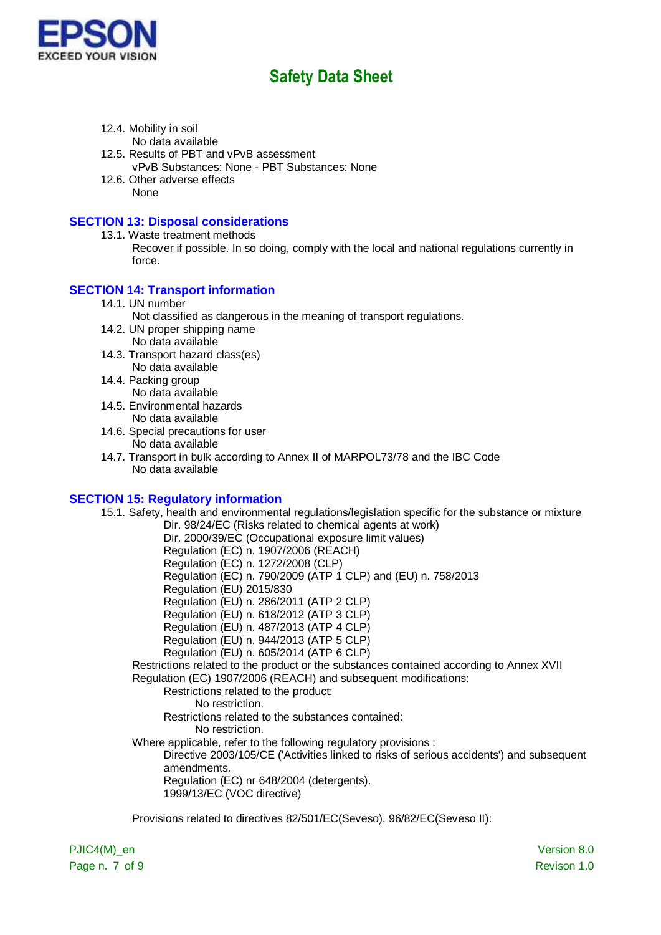

- 12.4. Mobility in soil No data available
- 12.5. Results of PBT and vPvB assessment vPvB Substances: None - PBT Substances: None
- 12.6. Other adverse effects None

### **SECTION 13: Disposal considerations**

- 13.1. Waste treatment methods
	- Recover if possible. In so doing, comply with the local and national regulations currently in force.

### **SECTION 14: Transport information**

- 14.1. UN number
	- Not classified as dangerous in the meaning of transport regulations.
- 14.2. UN proper shipping name No data available
- 14.3. Transport hazard class(es) No data available
- 14.4. Packing group No data available
- 14.5. Environmental hazards No data available
- 14.6. Special precautions for user No data available
- 14.7. Transport in bulk according to Annex II of MARPOL73/78 and the IBC Code No data available

### **SECTION 15: Regulatory information**

15.1. Safety, health and environmental regulations/legislation specific for the substance or mixture Dir. 98/24/EC (Risks related to chemical agents at work) Dir. 2000/39/EC (Occupational exposure limit values) Regulation (EC) n. 1907/2006 (REACH) Regulation (EC) n. 1272/2008 (CLP) Regulation (EC) n. 790/2009 (ATP 1 CLP) and (EU) n. 758/2013 Regulation (EU) 2015/830 Regulation (EU) n. 286/2011 (ATP 2 CLP) Regulation (EU) n. 618/2012 (ATP 3 CLP) Regulation (EU) n. 487/2013 (ATP 4 CLP) Regulation (EU) n. 944/2013 (ATP 5 CLP) Regulation (EU) n. 605/2014 (ATP 6 CLP) Restrictions related to the product or the substances contained according to Annex XVII Regulation (EC) 1907/2006 (REACH) and subsequent modifications: Restrictions related to the product: No restriction. Restrictions related to the substances contained: No restriction. Where applicable, refer to the following regulatory provisions : Directive 2003/105/CE ('Activities linked to risks of serious accidents') and subsequent amendments. Regulation (EC) nr 648/2004 (detergents). 1999/13/EC (VOC directive)

Provisions related to directives 82/501/EC(Seveso), 96/82/EC(Seveso II):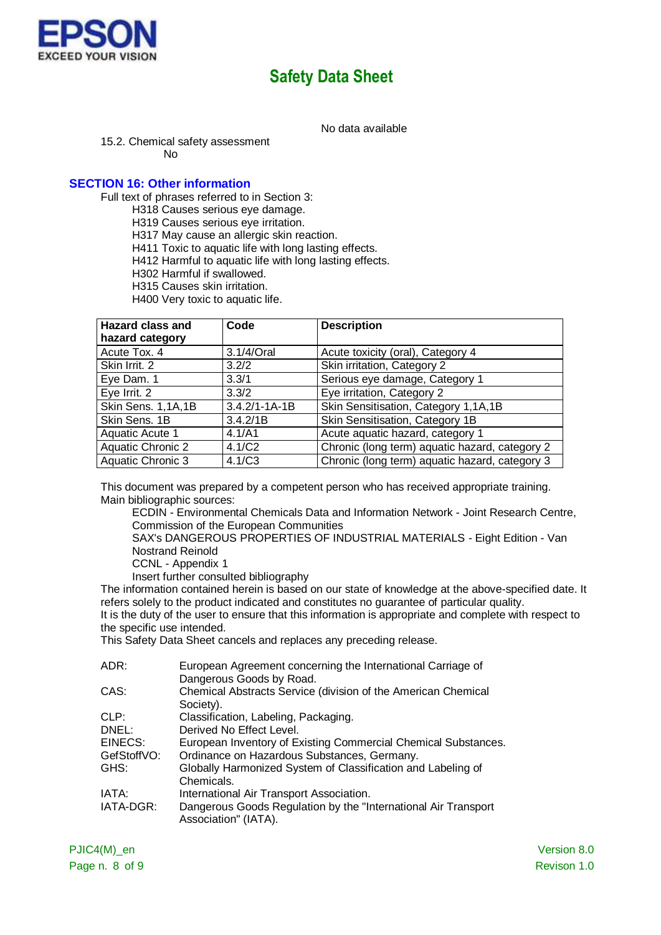

No data available

15.2. Chemical safety assessment

No

#### **SECTION 16: Other information**

Full text of phrases referred to in Section 3:

H318 Causes serious eye damage.

H319 Causes serious eye irritation.

H317 May cause an allergic skin reaction.

H411 Toxic to aquatic life with long lasting effects.

H412 Harmful to aquatic life with long lasting effects.

- H302 Harmful if swallowed.
- H315 Causes skin irritation.

H400 Very toxic to aquatic life.

| <b>Hazard class and</b>  | Code                | <b>Description</b>                             |
|--------------------------|---------------------|------------------------------------------------|
| hazard category          |                     |                                                |
| Acute Tox. 4             | 3.1/4/Oral          | Acute toxicity (oral), Category 4              |
| Skin Irrit, 2            | 3.2/2               | Skin irritation, Category 2                    |
| Eye Dam. 1               | 3.3/1               | Serious eye damage, Category 1                 |
| Eye Irrit. 2             | 3.3/2               | Eye irritation, Category 2                     |
| Skin Sens. 1,1A,1B       | $3.4.2/1 - 1A - 1B$ | Skin Sensitisation, Category 1,1A,1B           |
| Skin Sens. 1B            | 3.4.2/1B            | Skin Sensitisation, Category 1B                |
| Aquatic Acute 1          | 4.1/A1              | Acute aquatic hazard, category 1               |
| <b>Aquatic Chronic 2</b> | 4.1/C2              | Chronic (long term) aquatic hazard, category 2 |
| Aquatic Chronic 3        | 4.1/C3              | Chronic (long term) aquatic hazard, category 3 |

This document was prepared by a competent person who has received appropriate training. Main bibliographic sources:

ECDIN - Environmental Chemicals Data and Information Network - Joint Research Centre, Commission of the European Communities

SAX's DANGEROUS PROPERTIES OF INDUSTRIAL MATERIALS - Eight Edition - Van Nostrand Reinold

CCNL - Appendix 1

Insert further consulted bibliography

The information contained herein is based on our state of knowledge at the above-specified date. It refers solely to the product indicated and constitutes no guarantee of particular quality. It is the duty of the user to ensure that this information is appropriate and complete with respect to

the specific use intended.

This Safety Data Sheet cancels and replaces any preceding release.

| ADR:        | European Agreement concerning the International Carriage of                             |
|-------------|-----------------------------------------------------------------------------------------|
|             | Dangerous Goods by Road.                                                                |
| CAS:        | Chemical Abstracts Service (division of the American Chemical                           |
|             | Society).                                                                               |
| CLP:        | Classification, Labeling, Packaging.                                                    |
| DNEL:       | Derived No Effect Level.                                                                |
| EINECS:     | European Inventory of Existing Commercial Chemical Substances.                          |
| GefStoffVO: | Ordinance on Hazardous Substances, Germany.                                             |
| GHS:        | Globally Harmonized System of Classification and Labeling of                            |
|             | Chemicals.                                                                              |
| IATA:       | International Air Transport Association.                                                |
| IATA-DGR:   | Dangerous Goods Regulation by the "International Air Transport"<br>Association" (IATA). |
|             |                                                                                         |